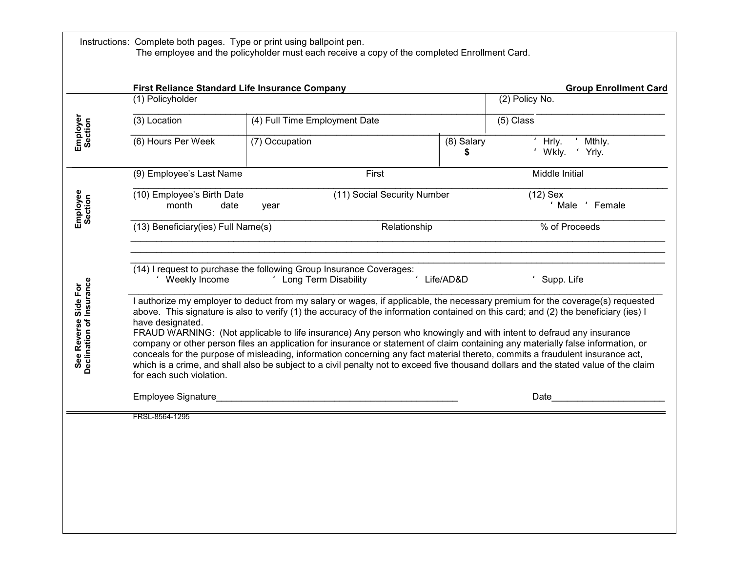|                                                  | First Reliance Standard Life Insurance Company<br>(1) Policyholder                                                                                                                                                                                                                                                                                                                                                                                                                                                                                                                                                                                                                                                                                                                                                                                       | <b>Group Enrollment Card</b><br>(2) Policy No. |                  |                                     |  |  |  |
|--------------------------------------------------|----------------------------------------------------------------------------------------------------------------------------------------------------------------------------------------------------------------------------------------------------------------------------------------------------------------------------------------------------------------------------------------------------------------------------------------------------------------------------------------------------------------------------------------------------------------------------------------------------------------------------------------------------------------------------------------------------------------------------------------------------------------------------------------------------------------------------------------------------------|------------------------------------------------|------------------|-------------------------------------|--|--|--|
|                                                  | (3) Location                                                                                                                                                                                                                                                                                                                                                                                                                                                                                                                                                                                                                                                                                                                                                                                                                                             | (4) Full Time Employment Date                  |                  | (5) Class                           |  |  |  |
| <b>Employer</b><br>Section                       | $\overline{(6)}$ Hours Per Week                                                                                                                                                                                                                                                                                                                                                                                                                                                                                                                                                                                                                                                                                                                                                                                                                          | (7) Occupation                                 | (8) Salary<br>\$ | Mthly.<br>Hrly.<br>Wkly.<br>' Yrly. |  |  |  |
|                                                  | (9) Employee's Last Name                                                                                                                                                                                                                                                                                                                                                                                                                                                                                                                                                                                                                                                                                                                                                                                                                                 | First                                          |                  | Middle Initial                      |  |  |  |
| Employee<br>Section                              | (11) Social Security Number<br>(10) Employee's Birth Date<br>$(12)$ Sex<br>month<br>' Male<br>' Female<br>date<br>year                                                                                                                                                                                                                                                                                                                                                                                                                                                                                                                                                                                                                                                                                                                                   |                                                |                  |                                     |  |  |  |
|                                                  | (13) Beneficiary(ies) Full Name(s)                                                                                                                                                                                                                                                                                                                                                                                                                                                                                                                                                                                                                                                                                                                                                                                                                       | Relationship                                   |                  | % of Proceeds                       |  |  |  |
| Declination of Insurance<br>See Reverse Side For | I authorize my employer to deduct from my salary or wages, if applicable, the necessary premium for the coverage(s) requested<br>above. This signature is also to verify (1) the accuracy of the information contained on this card; and (2) the beneficiary (ies) I<br>have designated.<br>FRAUD WARNING: (Not applicable to life insurance) Any person who knowingly and with intent to defraud any insurance<br>company or other person files an application for insurance or statement of claim containing any materially false information, or<br>conceals for the purpose of misleading, information concerning any fact material thereto, commits a fraudulent insurance act,<br>which is a crime, and shall also be subject to a civil penalty not to exceed five thousand dollars and the stated value of the claim<br>for each such violation. |                                                |                  |                                     |  |  |  |
|                                                  | Employee Signature <b>Employee</b> Signature                                                                                                                                                                                                                                                                                                                                                                                                                                                                                                                                                                                                                                                                                                                                                                                                             |                                                |                  | Date                                |  |  |  |
|                                                  | FRSL-8564-1295                                                                                                                                                                                                                                                                                                                                                                                                                                                                                                                                                                                                                                                                                                                                                                                                                                           |                                                |                  |                                     |  |  |  |